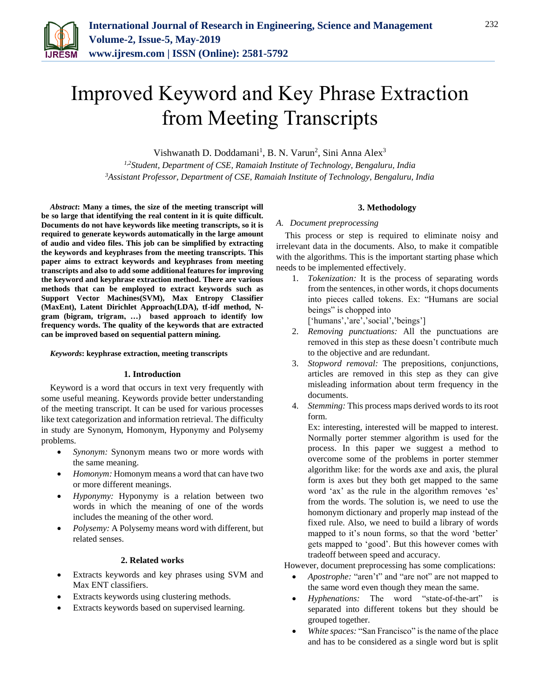

# Improved Keyword and Key Phrase Extraction from Meeting Transcripts

Vishwanath D. Doddamani<sup>1</sup>, B. N. Varun<sup>2</sup>, Sini Anna Alex<sup>3</sup>

*1,2Student, Department of CSE, Ramaiah Institute of Technology, Bengaluru, India 3Assistant Professor, Department of CSE, Ramaiah Institute of Technology, Bengaluru, India*

*Abstract***: Many a times, the size of the meeting transcript will be so large that identifying the real content in it is quite difficult. Documents do not have keywords like meeting transcripts, so it is required to generate keywords automatically in the large amount of audio and video files. This job can be simplified by extracting the keywords and keyphrases from the meeting transcripts. This paper aims to extract keywords and keyphrases from meeting transcripts and also to add some additional features for improving the keyword and keyphrase extraction method. There are various methods that can be employed to extract keywords such as Support Vector Machines(SVM), Max Entropy Classifier (MaxEnt), Latent Dirichlet Approach(LDA), tf-idf method, Ngram (bigram, trigram, …) based approach to identify low frequency words. The quality of the keywords that are extracted can be improved based on sequential pattern mining.**

## *Keywords***: keyphrase extraction, meeting transcripts**

## **1. Introduction**

Keyword is a word that occurs in text very frequently with some useful meaning. Keywords provide better understanding of the meeting transcript. It can be used for various processes like text categorization and information retrieval. The difficulty in study are Synonym, Homonym, Hyponymy and Polysemy problems.

- *Synonym:* Synonym means two or more words with the same meaning.
- *Homonym:* Homonym means a word that can have two or more different meanings.
- *Hyponymy:* Hyponymy is a relation between two words in which the meaning of one of the words includes the meaning of the other word.
- *Polysemy:* A Polysemy means word with different, but related senses.

## **2. Related works**

- Extracts keywords and key phrases using SVM and Max ENT classifiers.
- Extracts keywords using clustering methods.
- Extracts keywords based on supervised learning.

## **3. Methodology**

#### *A. Document preprocessing*

This process or step is required to eliminate noisy and irrelevant data in the documents. Also, to make it compatible with the algorithms. This is the important starting phase which needs to be implemented effectively.

1. *Tokenization:* It is the process of separating words from the sentences, in other words, it chops documents into pieces called tokens. Ex: "Humans are social beings" is chopped into

['humans','are','social','beings']

- 2. *Removing punctuations:* All the punctuations are removed in this step as these doesn't contribute much to the objective and are redundant.
- 3. *Stopword removal:* The prepositions, conjunctions, articles are removed in this step as they can give misleading information about term frequency in the documents.
- 4. *Stemming:* This process maps derived words to its root form.

Ex: interesting, interested will be mapped to interest. Normally porter stemmer algorithm is used for the process. In this paper we suggest a method to overcome some of the problems in porter stemmer algorithm like: for the words axe and axis, the plural form is axes but they both get mapped to the same word 'ax' as the rule in the algorithm removes 'es' from the words. The solution is, we need to use the homonym dictionary and properly map instead of the fixed rule. Also, we need to build a library of words mapped to it's noun forms, so that the word 'better' gets mapped to 'good'. But this however comes with tradeoff between speed and accuracy.

However, document preprocessing has some complications:

- *Apostrophe:* "aren't" and "are not" are not mapped to the same word even though they mean the same.
- *Hyphenations:* The word "state-of-the-art" is separated into different tokens but they should be grouped together.
- *White spaces:* "San Francisco" is the name of the place and has to be considered as a single word but is split